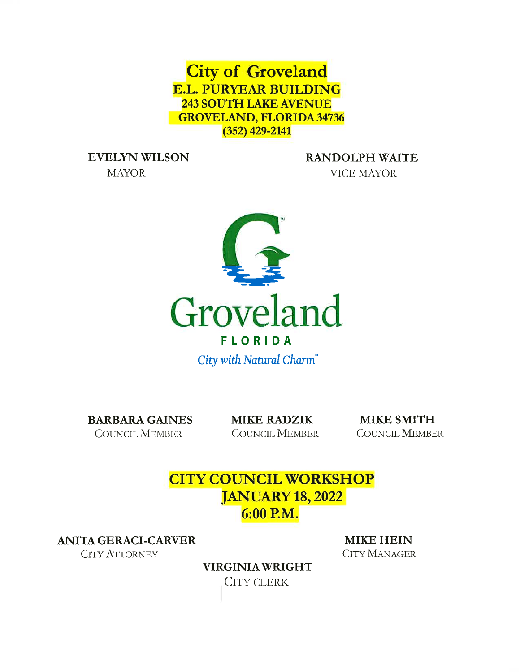**City of Groveland E.L. PURYEAR BUILDING 243 SOUTH LAKE AVENUE GROVELAND, FLORIDA 34736**  $(352)$  429-2141

**EVELYN WILSON** 

**MAYOR** 

**RANDOLPH WAITE VICE MAYOR** 



City with Natural Charm®

**BARBARA GAINES COUNCIL MEMBER** 

**MIKE RADZIK COUNCIL MEMBER** 

**MIKE SMITH COUNCIL MEMBER** 

# **CITY COUNCIL WORKSHOP JANUARY 18, 2022** 6:00 P.M.

**ANITA GERACI-CARVER** 

**CITY ATTORNEY** 

**MIKE HEIN CITY MANAGER** 

**VIRGINIA WRIGHT CITY CLERK**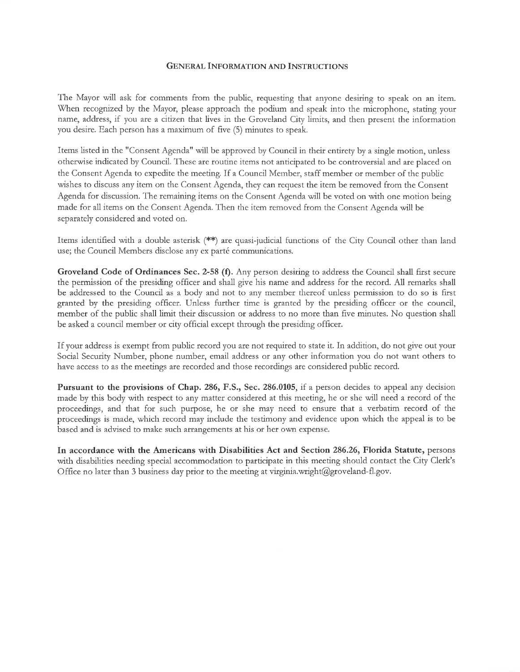#### GENERAL INFORMATION AND INSTRUCTIONS

The Mayor will ask fot comments ftom the public, requesting that anyone desiring to speak on an item. When recognized by the Mayor, please approach the podium and speak into the microphone, stating your name, address, if you are a ciizen that lives in the Groveland City limits, and then present the information you desite. Each person has a maximum of five (5) minutes to speak.

Items listed in the "Consent Agenda" will be approved by Council in their enttety by a single motion, unless otlrerwise indicated by Council. These are routine items not anticipated to be controversial and are placed on the Consent Agenda to expedite the meeting. If a Council Member, staff member or member of the public wishes to discuss any item on the Consent Agenda, they can request the item be removed from the Consent Agenda for discussion. The remaining items on the Consent Agenda will be voted on with one motion being made fot all items on the Consent Agenda. Then the item removed from the Consent Agenda will be sepatately considered and voted on.

Items identified with a double asterisk (\*\*) are quasi-judicial functions of the City Council other than land use; the Council Members disclose any ex parté communications.

Groveland Code of Ordinances Sec. 2-58 (f). Any person desiring to address the Council shall first secure the permission of the presiding officer and shall give his name and address for the record. All remarks shall be addressed to the Council as a body and not to any member thereof unless permission to do so is first granted by the presiding officer. Unless further time is granted by the presiding officer or the council, member of the public shall limit their discussion or address to no more than five minutes. No question shall be asked a council member or city official except through the presiding officer.

If yout address is exempt from public record you are not required to state it. In addition, do not give out your Social Security Number, phone number, email address or any other infotmation you do not want others to have access to as the meetings are recorded and those tecordings are considered public record.

Putsuant to the provisions of Chap. 286, F.S., Sec. 286.0105, if a person decides to appeal any decision made by this body with respect to any matter considered at this meeting, he ot she will need a record of the proceedings, and that for such purpose, he or she may need to ensure that a verbatim record of the proceedings is made, which record may include the testimony and evidence upon which the appeal is to be based and is advised to make such arrangements at his or her own expense.

In accotdance with the Americans with Disabilities Act and Section 286,26, Florida Statute, persons with disabilities needing special accommodation to participate in this meeting should contact the City Clerk's Office no later than 3 business day prior to the meeting at virginia.wright@groveland-fl.gov.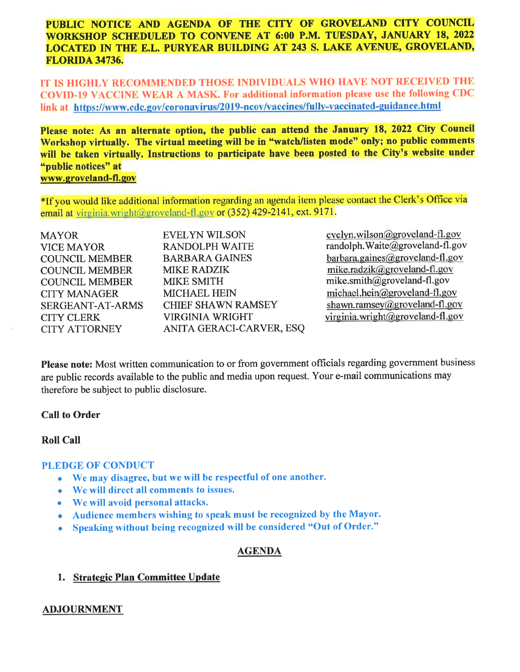# PUBLIC NOTICE AND AGENDA OF THE CITY OF GROVELAND CITY COUNCIL WORKSHOP SCHEDULED TO CONVENE AT 6:00 P.M. TUESDAY, JANUARY 18, 2022 LOCATED IN THE E.L. PURYEAR BUILDING AT 243 S. LAKE AVENUE, GROVELAND, FLORTDA 34736.

IT IS HIGHLY RECOMMENDED THOSE INDIVIDUALS WHO HAVB NOT RECEIVED THE COVID-19 VACCINE WEAR A MASK. For additional information please use the following CDC link at https://www.cdc.gov/coronavirus/2019-ncov/vaccines/fully-vaccinated-guidance.html

Please note: As an alternate option, the public can attend the January 18, 2022 City Council Workshop virtually. The virtual meeting will be in "watch/listen mode" only; no public comments will be taken virtually. Instructions to participate have been posted to the City's website under "public notices" at www.groveland-fl.gov

\*If you would like additional information regaxding an agenda item please contact the Clerk's Office via email at virginia.wright@groveland-fl.gov or  $(352)$  429-2141, ext. 9171.

| <b>MAYOR</b>            | <b>EVELYN WILSON</b>      |
|-------------------------|---------------------------|
| <b>VICE MAYOR</b>       | <b>RANDOLPH WAITE</b>     |
| <b>COUNCIL MEMBER</b>   | <b>BARBARA GAINES</b>     |
| <b>COUNCIL MEMBER</b>   | <b>MIKE RADZIK</b>        |
| <b>COUNCIL MEMBER</b>   | <b>MIKE SMITH</b>         |
| <b>CITY MANAGER</b>     | <b>MICHAEL HEIN</b>       |
| <b>SERGEANT-AT-ARMS</b> | <b>CHIEF SHAWN RAMSEY</b> |
| <b>CITY CLERK</b>       | <b>VIRGINIA WRIGHT</b>    |
| <b>CITY ATTORNEY</b>    | ANITA GERACI-CARVER, ESQ  |
|                         |                           |

evelyn.wilson@groveland-fl.gov randolph. Waite@groveland-fl.gov barbara.gaines@groveland-fl.gov mike.radzik@groveland-fl.gov mike.smith@groveland-fl.gov michael.hein@groveland-fl.gov shawn.ramsey@groveland-fl.gov virginia.wright@groveland-fl.gov

Please note: Most written communication to or from government officials regarding government business are public records available to the public and media upon request. Your e-mail communications may therefore be subject to public disclosure.

#### Call to Order

# RoIl Call

#### PLEDGE OF CONDUCT

- $\bullet$  We may disagree, but we will be respectful of one another.
- o We will direct all comments to issues.
- o We will avoid personal attacks.
- o Audience members wishing to speak must be recognized by the Mayor.
- . Speaking without being recognized will be considered "Out of Order."

# AGENDA

# 1. Strategic Plan Committee Update

#### ADJOURNMENT